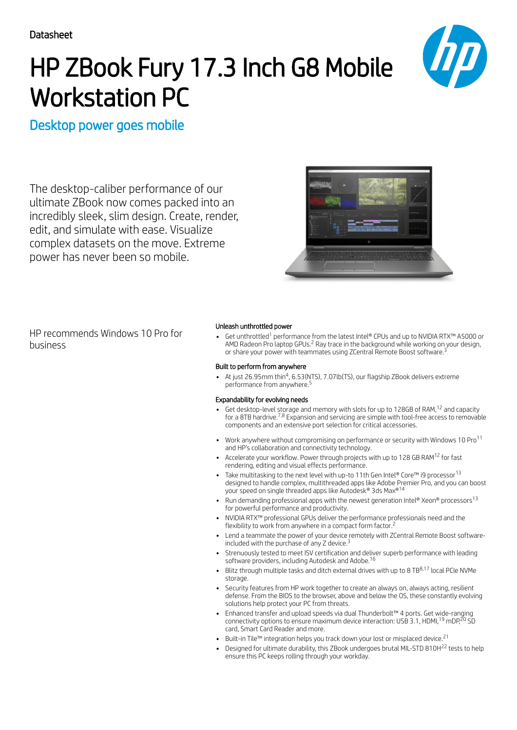# HP ZBook Fury 17.3 Inch G8 Mobile Workstation PC



### Desktop power goes mobile

The desktop-caliber performance of our ultimate ZBook now comes packed into an incredibly sleek, slim design. Create, render, edit, and simulate with ease. Visualize complex datasets on the move. Extreme power has never been so mobile.



HP recommends Windows 10 Pro for business

### Unleash unthrottled power

Get unthrottled $^1$  performance from the latest Intel® CPUs and up to NVIDIA RTX™ A5000 or AMD Radeon Pro laptop GPUs.<sup>2</sup> Ray trace in the background while working on your design, or share your power with teammates using ZCentral Remote Boost software. 1 2 3

### Built to perform from anywhere

At just 26.95mm thin<sup>4</sup>, 6.53(NTS), 7.07lb(TS), our flagship ZBook delivers extreme performance from anywhere. 5

### Expandability for evolving needs

- Get desktop-level storage and memory with slots for up to 128GB of RAM, $^{12}$  and capacity for a 8TB hardrive.<sup>7,8</sup> Expansion and servicing are simple with tool-free access to removable components and an extensive port selection for critical accessories.
- Work anywhere without compromising on performance or security with Windows 10 Pro $^{\rm 11}$ and HP's collaboration and connectivity technology.
- Accelerate your workflow. Power through projects with up to 128 GB RAM<sup>12</sup> for fast rendering, editing and visual effects performance.
- Take multitasking to the next level with up-to 11th Gen Intel® Core™ i9 processor $^{13}$ designed to handle complex, multithreaded apps like Adobe Premier Pro, and you can boost your speed on single threaded apps like Autodesk® 3ds Max® 14
- Run demanding professional apps with the newest generation Intel® Xeon® processors $^{\rm 13}$ for powerful performance and productivity.
- . NVIDIA RTX™ professional GPUs deliver the performance professionals need and the flexibility to work from anywhere in a compact form factor. 2
- Lend a teammate the power of your device remotely with ZCentral Remote Boost softwareincluded with the purchase of any Z device. 3
- Strenuously tested to meet ISV certification and deliver superb performance with leading software providers, including Autodesk and Adobe. 16
- Blitz through multiple tasks and ditch external drives with up to 8  $\text{TB}^{8,17}$  local PCIe NVMe storage.
- Security features from HP work together to create an always on, always acting, resilient defense. From the BIOS to the browser, above and below the OS, these constantly evolving solutions help protect your PC from threats.
- Enhanced transfer and upload speeds via dual Thunderbolt™ 4 ports. Get wide-ranging connectivity options to ensure maximum device interaction: USB 3.1, HDMI, $^{19}$  mDP, $^{20}$  SD card, Smart Card Reader and more.
- Built-in Tile™ integration helps you track down your lost or misplaced device.<sup>21</sup>
- Designed for ultimate durability, this ZBook undergoes brutal MIL-STD 810H<sup>22</sup> tests to help ensure this PC keeps rolling through your workday.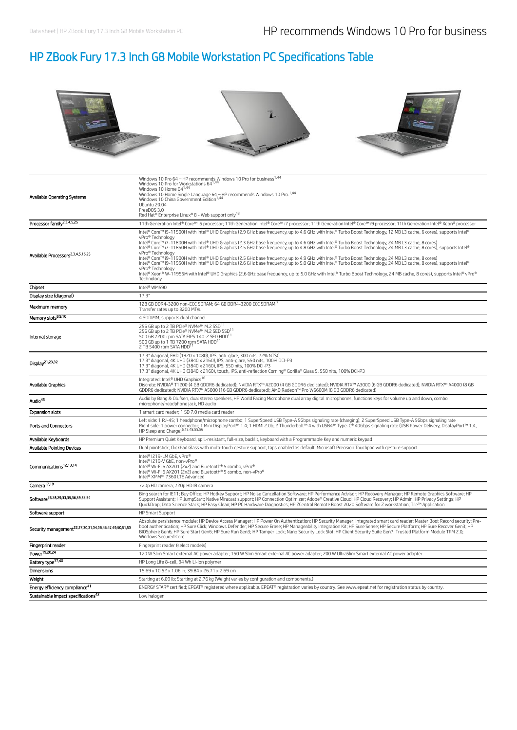## HP ZBook Fury 17.3 Inch G8 Mobile Workstation PC Specifications Table



| Available Operating Systems                                        | Windows 10 Pro 64 - HP recommends Windows 10 Pro for business <sup>1,44</sup><br>Windows 10 Pro for Workstations 64 <sup>1,44</sup><br>Windows 10 Home 64 <sup>1,44</sup><br>Windows 10 Home Single Language 64 - HP recommends Windows 10 Pro. <sup>1,44</sup><br>Windows 10 China Government Edition <sup>1,44</sup><br>Ubuntu 20.04<br>FreeDOS 3.0<br>Red Hat® Enterprise Linux® 8 - Web support only43                                                                                                                                                                                                                                                                                                                                                                                                                                                                                                                                                                                                                                                                             |
|--------------------------------------------------------------------|----------------------------------------------------------------------------------------------------------------------------------------------------------------------------------------------------------------------------------------------------------------------------------------------------------------------------------------------------------------------------------------------------------------------------------------------------------------------------------------------------------------------------------------------------------------------------------------------------------------------------------------------------------------------------------------------------------------------------------------------------------------------------------------------------------------------------------------------------------------------------------------------------------------------------------------------------------------------------------------------------------------------------------------------------------------------------------------|
| Processor family <sup>2,3,4,5,25</sup>                             | 11th Generation Intel® Core™ i5 processor; 11th Generation Intel® Core™ i7 processor; 11th Generation Intel® Core™ i9 processor; 11th Generation Intel® Xeon® processor                                                                                                                                                                                                                                                                                                                                                                                                                                                                                                                                                                                                                                                                                                                                                                                                                                                                                                                |
| Available Processors <sup>2,3,4,5,16,25</sup>                      | Intel® Core™ i5-11500H with Intel® UHD Graphics (2.9 GHz base frequency, up to 4.6 GHz with Intel® Turbo Boost Technology, 12 MB L3 cache, 6 cores), supports Intel®<br>vPro® Technology<br>Intel® Core™ i7-11800H with Intel® UHD Graphics (2.3 GHz base frequency, up to 4.6 GHz with Intel® Turbo Boost Technology, 24 MB L3 cache, 8 cores)<br>Intel® Core™ i7-11850H with Intel® UHD Graphics (2.5 GHz base frequency, up to 4.8 GHz with Intel® Turbo Boost Technology, 24 MB L3 cache, 8 cores), supports Intel®<br>vPro® Technology<br>Intel® Core™ i9-11900H with Intel® UHD Graphics (2.5 GHz base frequency, up to 4.9 GHz with Intel® Turbo Boost Technology, 24 MB L3 cache, 8 cores)<br>Intel® Core™ i9-11950H with Intel® UHD Graphics (2.6 GHz base frequency, up to 5.0 GHz with Intel® Turbo Boost Technology, 24 MB L3 cache, 8 cores), supports Intel®<br>vPro® Technology<br>Intel® Xeon® W-11955M with Intel® UHD Graphics (2.6 GHz base frequency, up to 5.0 GHz with Intel® Turbo Boost Technology, 24 MB cache, 8 cores), supports Intel® vPro®<br>Technology |
| Chipset                                                            | Intel® WM590                                                                                                                                                                                                                                                                                                                                                                                                                                                                                                                                                                                                                                                                                                                                                                                                                                                                                                                                                                                                                                                                           |
| Display size (diagonal)                                            | 17.3"                                                                                                                                                                                                                                                                                                                                                                                                                                                                                                                                                                                                                                                                                                                                                                                                                                                                                                                                                                                                                                                                                  |
| Maximum memory                                                     | 128 GB DDR4-3200 non-ECC SDRAM; 64 GB DDR4-3200 ECC SDRAM<br>Transfer rates up to 3200 MT/s.                                                                                                                                                                                                                                                                                                                                                                                                                                                                                                                                                                                                                                                                                                                                                                                                                                                                                                                                                                                           |
| Memory slots <sup>8,9,10</sup>                                     | 4 SODIMM; supports dual channel                                                                                                                                                                                                                                                                                                                                                                                                                                                                                                                                                                                                                                                                                                                                                                                                                                                                                                                                                                                                                                                        |
| Internal storage                                                   | 256 GB up to 2 TB PCIe® NVMe™ M.2 SSD <sup>11</sup><br>256 GB up to 2 TB PCIe® NVMe™ M.2 SED SSD <sup>11</sup><br>500 GB 7200 rpm SATA FIPS 140-2 SED HDD <sup>11</sup><br>500 GB up to 1 TB 7200 rpm SATA HDD <sup>11</sup><br>2 TB 5400 rpm SATA HDD <sup>11</sup>                                                                                                                                                                                                                                                                                                                                                                                                                                                                                                                                                                                                                                                                                                                                                                                                                   |
| Display <sup>21,23,32</sup>                                        | 17.3" diagonal, FHD (1920 x 1080), IPS, anti-glare, 300 nits, 72% NTSC<br>17.3" diagonal, 4K UHD (3840 x 2160), IPS, anti-glare, 550 nits, 100% DCI-P3<br>17.3" diagonal, 4K UHD (3840 x 2160), IPS, 550 nits, 100% DCI-P3<br>17.3" diagonal, 4K UHD (3840 x 2160), touch, IPS, anti-reflection Corning® Gorilla® Glass 5, 550 nits, 100% DCI-P3                                                                                                                                                                                                                                                                                                                                                                                                                                                                                                                                                                                                                                                                                                                                       |
| Available Graphics                                                 | Integrated: Intel® UHD Graphics <sup>16</sup><br>Discrete: NVIDIA® T1200 (4 GB GDDR6 dedicated): NVIDIA RTX™ A2000 (4 GB GDDR6 dedicated): NVIDIA RTX™ A3000 (6 GB GDDR6 dedicated): NVIDIA RTX™ A4000 (8 GB<br>GDDR6 dedicated); NVIDIA RTX™ A5000 (16 GB GDDR6 dedicated); AMD Radeon™ Pro W6600M (8 GB GDDR6 dedicated)                                                                                                                                                                                                                                                                                                                                                                                                                                                                                                                                                                                                                                                                                                                                                             |
| Audio <sup>45</sup>                                                | Audio by Bang & Olufsen, dual stereo speakers, HP World Facing Microphone dual array digital microphones, functions keys for volume up and down, combo<br>microphone/headphone jack, HD audio                                                                                                                                                                                                                                                                                                                                                                                                                                                                                                                                                                                                                                                                                                                                                                                                                                                                                          |
| <b>Expansion slots</b>                                             | 1 smart card reader; 1 SD 7.0 media card reader                                                                                                                                                                                                                                                                                                                                                                                                                                                                                                                                                                                                                                                                                                                                                                                                                                                                                                                                                                                                                                        |
| Ports and Connectors                                               | Left side: 1 RJ-45; 1 headphone/microphone combo; 1 SuperSpeed USB Type-A 5Gbps signaling rate (charging); 2 SuperSpeed USB Type-A 5Gbps signaling rate<br>Right side: 1 power connector; 1 Mini DisplayPort™ 1.4; 1 HDMI 2.0b; 2 Thunderbolt™ 4 with USB4™ Type-C® 40Gbps signaling rate (USB Power Delivery, DisplayPort™ 1.4,<br>HP Sleep and Charge) <sup>6,15,48,55,56</sup>                                                                                                                                                                                                                                                                                                                                                                                                                                                                                                                                                                                                                                                                                                      |
| Available Keyboards                                                | HP Premium Quiet Keyboard, spill-resistant, full-size, backlit, keyboard with a Programmable Key and numeric keypad                                                                                                                                                                                                                                                                                                                                                                                                                                                                                                                                                                                                                                                                                                                                                                                                                                                                                                                                                                    |
| <b>Available Pointing Devices</b>                                  | Dual pointstick; ClickPad Glass with multi-touch gesture support, taps enabled as default; Microsoft Precision Touchpad with gesture support                                                                                                                                                                                                                                                                                                                                                                                                                                                                                                                                                                                                                                                                                                                                                                                                                                                                                                                                           |
| Communications <sup>12,13,14</sup>                                 | Intel® I219-LM GbE, vPro®<br>Intel® I219-V GbE, non-vPro®<br>Intel® Wi-Fi 6 AX201 (2x2) and Bluetooth® 5 combo, vPro®<br>Intel® Wi-Fi 6 AX201 (2x2) and Bluetooth® 5 combo, non-vPro®<br>Intel® XMM™ 7360 LTE Advanced                                                                                                                                                                                                                                                                                                                                                                                                                                                                                                                                                                                                                                                                                                                                                                                                                                                                 |
| Camera <sup>17,18</sup>                                            | 720p HD camera; 720p HD IR camera                                                                                                                                                                                                                                                                                                                                                                                                                                                                                                                                                                                                                                                                                                                                                                                                                                                                                                                                                                                                                                                      |
| Software <sup>26,28,29,33,35,36,39,52,54</sup>                     | Bing search for IE11; Buy Office; HP Hotkey Support; HP Noise Cancellation Software; HP Performance Advisor; HP Recovery Manager; HP Remote Graphics Software; HP<br>Support Assistant; HP JumpStart; Native Miracast support; HP Connection Optimizer; Adobe® Creative Cloud; HP Cloud Recovery; HP Admin; HP Privacy Settings; HP<br>QuickDrop; Data Science Stack; HP Easy Clean; HP PC Hardware Diagnostics; HP ZCentral Remote Boost 2020 Software for Z workstation; Tile™ Application                                                                                                                                                                                                                                                                                                                                                                                                                                                                                                                                                                                           |
| Software support                                                   | <b>HP Smart Support</b>                                                                                                                                                                                                                                                                                                                                                                                                                                                                                                                                                                                                                                                                                                                                                                                                                                                                                                                                                                                                                                                                |
| Security management <sup>22,27,30,31,34,38,46,47,49,50,51,53</sup> | Absolute persistence module; HP Device Access Manager; HP Power On Authentication; HP Security Manager; Integrated smart card reader; Master Boot Record security; Pre-<br>boot authentication; HP Sure Click; Windows Defender; HP Secure Erase; HP Manageability Integration Kit; HP Sure Sense; HP Secure Platform; HP Sure Recover Gen3; HP<br>BIOSphere Gen6; HP Sure Start Gen6; HP Sure Run Gen3; HP Tamper Lock; Nano Security Lock Slot; HP Client Security Suite Gen7; Trusted Platform Module TPM 2.0;<br>Windows Secured Core                                                                                                                                                                                                                                                                                                                                                                                                                                                                                                                                              |
| Fingerprint reader                                                 | Fingerprint reader (select models)                                                                                                                                                                                                                                                                                                                                                                                                                                                                                                                                                                                                                                                                                                                                                                                                                                                                                                                                                                                                                                                     |
| Power <sup>19,20,24</sup>                                          | 120 W Slim Smart external AC power adapter; 150 W Slim Smart external AC power adapter; 200 W UltraSlim Smart external AC power adapter                                                                                                                                                                                                                                                                                                                                                                                                                                                                                                                                                                                                                                                                                                                                                                                                                                                                                                                                                |
| Battery type <sup>37,40</sup>                                      | HP Long Life 8-cell, 94 Wh Li-ion polymer                                                                                                                                                                                                                                                                                                                                                                                                                                                                                                                                                                                                                                                                                                                                                                                                                                                                                                                                                                                                                                              |
| Dimensions                                                         | 15.69 x 10.52 x 1.06 in; 39.84 x 26.71 x 2.69 cm                                                                                                                                                                                                                                                                                                                                                                                                                                                                                                                                                                                                                                                                                                                                                                                                                                                                                                                                                                                                                                       |
| Weight                                                             | Starting at 6.09 lb; Starting at 2.76 kg (Weight varies by configuration and components.)                                                                                                                                                                                                                                                                                                                                                                                                                                                                                                                                                                                                                                                                                                                                                                                                                                                                                                                                                                                              |
| Energy efficiency compliance <sup>41</sup>                         | ENERGY STAR® certified; EPEAT® registered where applicable. EPEAT® registration varies by country. See www.epeat.net for registration status by country.                                                                                                                                                                                                                                                                                                                                                                                                                                                                                                                                                                                                                                                                                                                                                                                                                                                                                                                               |
| Sustainable impact specifications <sup>42</sup>                    | Low halogen                                                                                                                                                                                                                                                                                                                                                                                                                                                                                                                                                                                                                                                                                                                                                                                                                                                                                                                                                                                                                                                                            |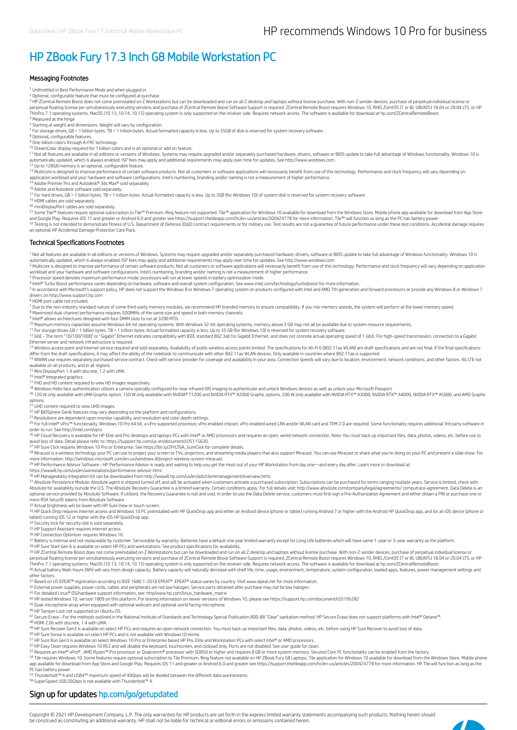### HP ZBook Fury 17.3 Inch G8 Mobile Workstation PC

#### Messaging Footnotes

<sup>1</sup> Unthrottled in Best Performance Mode and when plugged in.

<sup>2</sup> Optional, configurable feature that must be configured at purchase.

<sup>3</sup> HP ZCentral Remote Boost does not come preinstalled on Z Workstations but can be downloaded and run on all Z desktop and laptops without license purchase. With non-Z sender devices, purchase of perpetual individual lic ThinPro 7.1 operating systems. MacOS (10.13, 10.14, 10.15) operating system is only supported on the receiver side. Requires network access. The software is available for download at hp.com/ZCentralRemoteBoost. 4 Measured at the hinge

<sup>5</sup> Starting at weight and dimensions. Weight will vary by configuration.

<sup>7</sup> For storage drives, GB = 1 billion bytes. TB = 1 trillion bytes. Actual formatted capacity is less. Up to 35GB of disk is reserved for system recovery software.<br><sup>8</sup> Optional, configurable features.

<sup>9</sup> One-billion colors through A-FRC technology<br><sup>10</sup> DreamColor display required for 1 billion colors and is an optional or add on feature.

11 Not all features are available in all editions or versions of Windows. Systems may require upgraded and/or separately purchased hardware, drivers, software or BIOS update to take full advantage of Windows functionality. automatically updated, which is always enabled. ISP fees may apply and additional requirements may apply over time for updates. See http://www.windows.com.<br><sup>12</sup> Up to 128GB memory is an optional, configurable feature.

<sup>13</sup> Multicore is designed to improve performance of certain software products. Not all customers or software applications will necessarily benefit from use of this technology. Performance and clock frequency will vary dep 13

14

<sup>16</sup> Adobe and Autodesk software sold separately.<br><sup>17</sup> For hard drives, GB = 1 billion bytes. TB = 1 trillion bytes. Actual formatted capacity is less. Up to 3GB (for Windows 10) of system disk is reserved for system recov

19 20 21

HDMI cables are sold separately.<br>miniDisplayPort cables are sold separately.<br>Some Tile™ features require optional subscription to Tile™ Premium. Ring feature not supported. Tile™ application for Windows 10 available for d and Google Play. Requires iOS 11 and greater or Android 6.0 and greater see https://support.thetileapp.com/hc/en-us/articles/200424778 for more information. Tile™ will function as long as the PC has battery power.<br><sup>22</sup> Te an optional HP Accidental Damage Protection Care Pack.

#### Technical Specifications Footnotes

<sup>1</sup> Not all features are available in all editions or versions of Windows. Systems may require upgraded and/or separately purchased hardware, drivers, software or BIOS update to take full advantage of Windows functionality 1

workload and your hardware and software configurations. Intel's numbering, branding and/or naming is not a measurement of higher performance.<br><sup>3</sup> Processor speed denotes maximum performance mode; processors will run at low 2

<sup>4</sup> Intel® Turbo Boost performance varies depending on hardware, software and overall system configuration. See www.intel.com/technology/turboboost for more information.<br><sup>5</sup> In accordance with Microsoft's support policy, H drivers on http://www.support.hp.com

6 HDMI port-cable not included.<br>7 Due to the non-industry standard nature of some third-party memory modules, we recommend HP branded memory to ensure compatibility. If you mix memory speeds, the system will perform at the

<sup>8</sup> Maximized dual-channel performance requires SODIMMs of the same size and speed in both memory channels.<br><sup>9</sup> Intel® allows architectures designed with four DIMM slots to run at 3200 MT/s

Maximum memory capacities assume Windows 64-bit operating systems. With Windows 32-bit operating systems, memory above 3 GB may not all be available due to system resource requirements.<br>For storage drives GB = 1 billion by 10 11 12

Ethernet server and network infrastructure is required.<br><sup>13</sup> Wireless access point and Internet service required and sold separately. Availability of public wireless access points limited. The specifications for Wi-Fi 6 (8

differ from the draft specifications, it may affect the ability of the notebook to communicate with other 802.11ax WLAN devices. Only available in countries where 802.11ax is supported. <sup>14</sup> WWAN use requires separately purchased service contract. Check with service provider for coverage and availability in your area. Connection speeds will vary due to location, environment, network conditions, and other

<sup>15</sup> Mini DisplayPort 1.4 with discrete, 1.2 with UMA.<br><sup>16</sup> Intel® Integrated graphics

17 FHD and HD content required to view HD images respectively.

<sup>18</sup> Windows Hello face authentication utilizes a camera specially configured for near infrared (IR) imaging to authenticate and unlock Windows devices as well as unlock your Microsoft Passport.<br><sup>20</sup> 120 W only available options.<br><sup>21</sup> UHD content required to view UHD images.

<sup>22</sup> HP BIOSphere Gen6 features may vary depending on the platform and configurations.

<sup>23</sup> Resolutions are dependent upon monitor capability, and resolution and color depth settings.<br><sup>25</sup> For full Intel® vPro™ functionality, Windows 10 Pro 64 bit, a vPro supported processor, vPro enabled chipset, vPro enabl order to run. See http://intel.com/vpro<br><sup>26</sup> HP Cloud Recovery is available for HP Elite and Pro desktops and laptops PCs with Intel® or AMD processors and requires an open, wired network connection. Note: You must back up

avoid loss of data. Detail please refer to: https://support.hp.com/us-en/document/c05115630.<br><sup>27</sup> HP Sure Click requires Windows 10 Pro or Enterprise. See https://bit.ly/2PruT6A\_SureClick for complete details.<br><sup>28</sup> Miracas

more information: http://windows.microsoft.com/en-us/windows-8/project-wireless-screen-miracast.<br><sup>29</sup> HP Performance Advisor Software - HP Performance Advisor is ready and waiting to help you get the most out of your HP Wo

https://www8.hp.com/us/en/workstations/performance-advisor.html

<sup>30</sup> HP Manageability Integration Kit can be downloaded from http://www8.hp.com/us/en/ads/clientmanagement/overview.html.<br><sup>31</sup> Absolute Persistence Module: Absolute agent is shipped turned off, and will be activated when c Absolute for availability outside the U.S. The Absolute Recovery Guarantee is a limited warranty. Certain conditions apply. For full details visit: http://www.absolute.com/company/legal/agreements/ computrace-agreement. Da more RSA SecurID tokens from Absolute Software.

32 Actual brightness will be lower with HP Sure View or touch-screen.

33 HP Quick Drop requires Internet access and Windows 10 PC preinstalled with HP QuickDrop app and either an Android device (phone or tablet) running Android 7 or higher with the Android HP QuickDrop app, and /or an iOS de tablet) running iOS 12 or higher with the iOS HP QuickDrop app.<br><sup>34</sup> Security lock for security slot is sold separately.

<sup>35</sup> HP Support Assistant requires internet access.<br><sup>36</sup> HP Connection Optimizer requires Windows 10.

37 Battery is internal and not replaceable by customer. Serviceable by warranty. Batteries have a default one year limited warranty except for Long Life batteries which will have same 1-year or 3-year warranty as the platf

<sup>38</sup> HP Sure Start Gen 6 is available on select HP PCs and workstations. See product specifications for availability.<br><sup>39</sup> HP ZCentral Remote Boost does not come preinstalled on Z Workstations but can be downloaded and run perpetual floating license per simultaneously executing versions and purchase of ZCentral Remote Boost Software Support is required. ZCentral Remote Boost requires Windows 10, RHEL/CentOS (7 or 8), UBUNTU 18.04 or 20.04 LT

40 Actual battery Watt-hours (Wh) will vary from design capacity. Battery capacity will naturally decrease with shelf life, time, usage, environment, temperature, system configuration, loaded apps, features, power manageme other factors.<br><sup>41</sup> Based on US EPEAT® registration according to IEEE 1680.1-2018 EPEAT®. EPEAT® status varies by country. Visit www.epeat.net for more information.

<sup>42</sup> External power supplies, power cords, cables and peripherals are not low halogen. Service parts obtained after purchase may not be low halogen.<br><sup>43</sup> For detailed Linux® OS/hardware support information, see: http/www.h

44 HP tested Windows 10, version 1809 on this platform. For testing information on newer versions of Windows 10, please see https://support.hp.com/document/c05195282

<sup>45</sup> Dual-microphone array when equipped with optional webcam and optional world facing microphone.<br><sup>46</sup> HP Tamper Lock not supported on Ubuntu OS

<sup>47</sup> Secure Erase - For the methods outlined in the National Institute of Standards and Technology Special Publication 800-88 "Clear" sanitation method. HP Secure Erase does not support platforms with Intel® Optane™.<br><sup>48</sup>

49 HP Sure Recover Gen3 is available on select HP PCs and requires an open network connection. You must back up important files, data, photos, videos, etc. before using HP Sure Recover to avoid loss of data.

<sup>50</sup> HP Sure Sense is available on select HP PCs and is not available with Windows10 Home.<br><sup>51</sup> HP Sure Run Gen3 is available on select Windows 10 Pro or Enterprise based HP Pro, Elite and Workstation PCs with select Intel

<sup>52</sup> HP Easy Clean requires Windows 10 RS3 and will disable the keyboard, touchscreen, and clickpad only. Ports are not disabled. See user guide for clean.<br><sup>53</sup> Requires an Intel® VPro®, AMD Ryzen™ Pro processor or Qualco 52 53 54

PC has battery power.<br><sup>55</sup> Thunderbolt™ 4 and USB4™ maximum speed of 40Gbps will be divided between the different data workstreams.<br><sup>56</sup> SuperSpeed USB 20Gbps is not available with Thunderbolt™ 4.

### Sign up for updates hp.com/go/getupdated

Copyright © 2021 HP Development Company, L.P. The only warranties for HP products are set forth in the express limited warranty statements accompanying such products. Nothing herein should be construed as constituting an additional warranty. HP shall not be liable for technical or editorial errors or omissions contained herein.